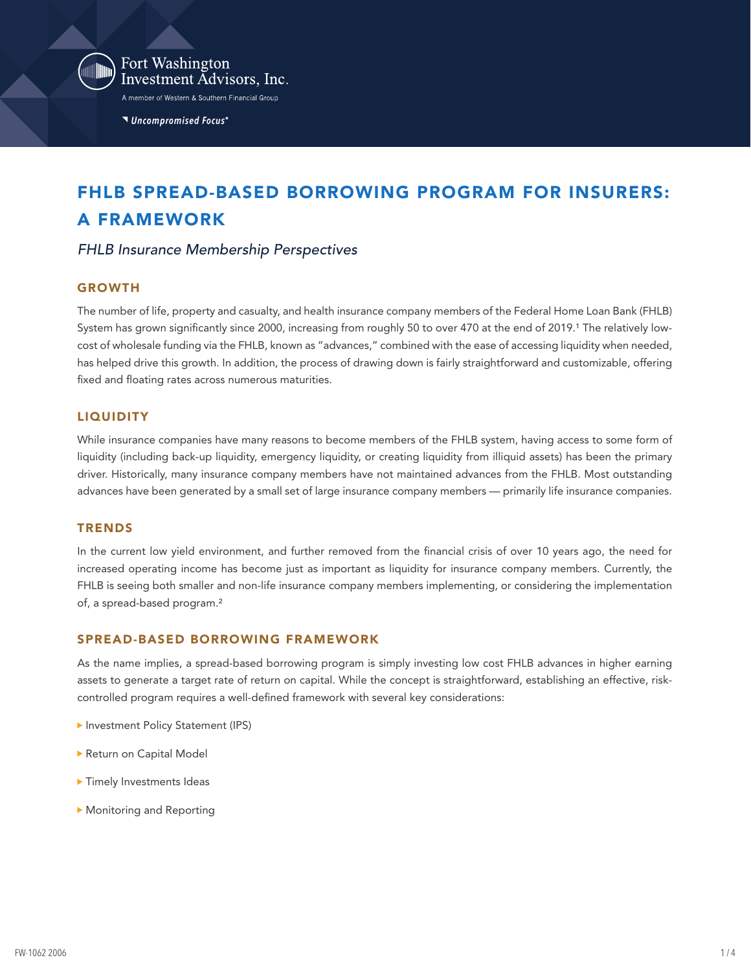

Fort Washington Investment Advisors, Inc. A member of Western & Southern Financial Group

Uncompromised Focus®

# FHLB SPREAD-BASED BORROWING PROGRAM FOR INSURERS: A FRAMEWORK

## *FHLB Insurance Membership Perspectives*

#### GROWTH

The number of life, property and casualty, and health insurance company members of the Federal Home Loan Bank (FHLB) System has grown significantly since 2000, increasing from roughly 50 to over 470 at the end of 2019.<sup>1</sup> The relatively lowcost of wholesale funding via the FHLB, known as "advances," combined with the ease of accessing liquidity when needed, has helped drive this growth. In addition, the process of drawing down is fairly straightforward and customizable, offering fixed and floating rates across numerous maturities.

#### **LIQUIDITY**

While insurance companies have many reasons to become members of the FHLB system, having access to some form of liquidity (including back-up liquidity, emergency liquidity, or creating liquidity from illiquid assets) has been the primary driver. Historically, many insurance company members have not maintained advances from the FHLB. Most outstanding advances have been generated by a small set of large insurance company members — primarily life insurance companies.

#### **TRENDS**

In the current low yield environment, and further removed from the financial crisis of over 10 years ago, the need for increased operating income has become just as important as liquidity for insurance company members. Currently, the FHLB is seeing both smaller and non-life insurance company members implementing, or considering the implementation of, a spread-based program.²

#### SPREAD-BASED BORROWING FRAMEWORK

As the name implies, a spread-based borrowing program is simply investing low cost FHLB advances in higher earning assets to generate a target rate of return on capital. While the concept is straightforward, establishing an effective, riskcontrolled program requires a well-defined framework with several key considerations:

- **Investment Policy Statement (IPS)**
- Return on Capital Model
- **Timely Investments Ideas**
- Monitoring and Reporting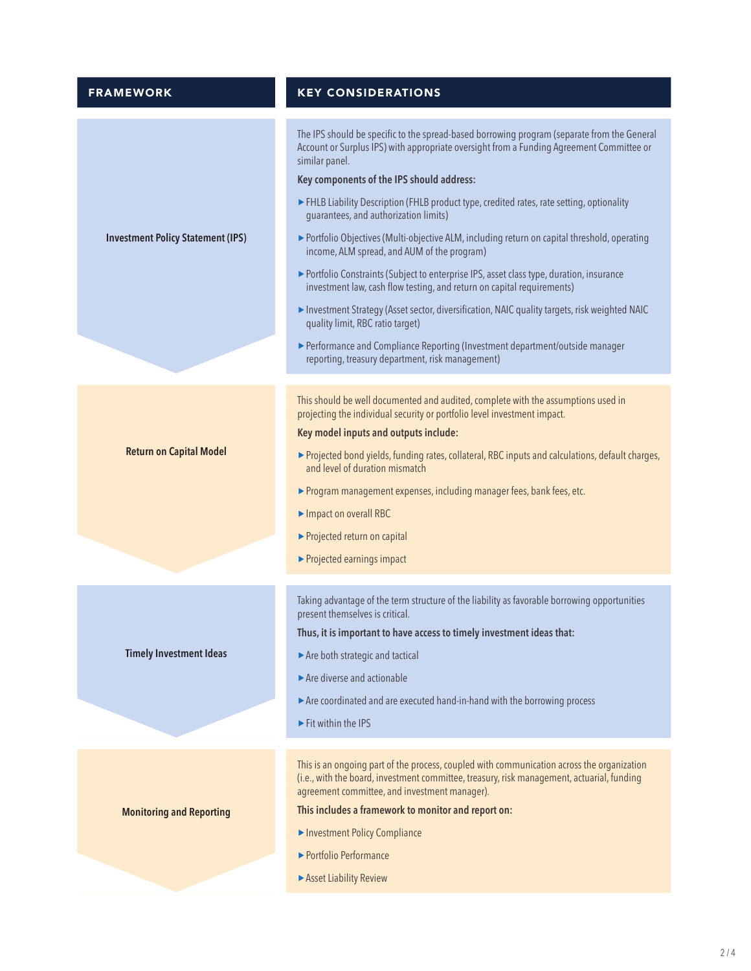| <b>FRAMEWORK</b>                         | <b>KEY CONSIDERATIONS</b>                                                                                                                                                                                                                 |  |
|------------------------------------------|-------------------------------------------------------------------------------------------------------------------------------------------------------------------------------------------------------------------------------------------|--|
|                                          | The IPS should be specific to the spread-based borrowing program (separate from the General<br>Account or Surplus IPS) with appropriate oversight from a Funding Agreement Committee or<br>similar panel.                                 |  |
| <b>Investment Policy Statement (IPS)</b> | Key components of the IPS should address:<br>FHLB Liability Description (FHLB product type, credited rates, rate setting, optionality<br>quarantees, and authorization limits)                                                            |  |
|                                          | ▶ Portfolio Objectives (Multi-objective ALM, including return on capital threshold, operating<br>income, ALM spread, and AUM of the program)                                                                                              |  |
|                                          | ▶ Portfolio Constraints (Subject to enterprise IPS, asset class type, duration, insurance<br>investment law, cash flow testing, and return on capital requirements)                                                                       |  |
|                                          | Investment Strategy (Asset sector, diversification, NAIC quality targets, risk weighted NAIC<br>quality limit, RBC ratio target)                                                                                                          |  |
|                                          | Performance and Compliance Reporting (Investment department/outside manager<br>reporting, treasury department, risk management)                                                                                                           |  |
| <b>Return on Capital Model</b>           | This should be well documented and audited, complete with the assumptions used in                                                                                                                                                         |  |
|                                          | projecting the individual security or portfolio level investment impact.                                                                                                                                                                  |  |
|                                          | Key model inputs and outputs include:                                                                                                                                                                                                     |  |
|                                          | ▶ Projected bond yields, funding rates, collateral, RBC inputs and calculations, default charges,<br>and level of duration mismatch                                                                                                       |  |
|                                          | > Program management expenses, including manager fees, bank fees, etc.                                                                                                                                                                    |  |
|                                          | Impact on overall RBC                                                                                                                                                                                                                     |  |
|                                          | Projected return on capital                                                                                                                                                                                                               |  |
|                                          | ▶ Projected earnings impact                                                                                                                                                                                                               |  |
| <b>Timely Investment Ideas</b>           | Taking advantage of the term structure of the liability as favorable borrowing opportunities                                                                                                                                              |  |
|                                          | present themselves is critical.<br>Thus, it is important to have access to timely investment ideas that:                                                                                                                                  |  |
|                                          | Are both strategic and tactical                                                                                                                                                                                                           |  |
|                                          | Are diverse and actionable                                                                                                                                                                                                                |  |
|                                          | Are coordinated and are executed hand-in-hand with the borrowing process                                                                                                                                                                  |  |
|                                          | Fit within the IPS                                                                                                                                                                                                                        |  |
|                                          |                                                                                                                                                                                                                                           |  |
| <b>Monitoring and Reporting</b>          | This is an ongoing part of the process, coupled with communication across the organization<br>(i.e., with the board, investment committee, treasury, risk management, actuarial, funding<br>agreement committee, and investment manager). |  |
|                                          | This includes a framework to monitor and report on:                                                                                                                                                                                       |  |
|                                          | Investment Policy Compliance                                                                                                                                                                                                              |  |
|                                          | ▶ Portfolio Performance                                                                                                                                                                                                                   |  |
|                                          | Asset Liability Review                                                                                                                                                                                                                    |  |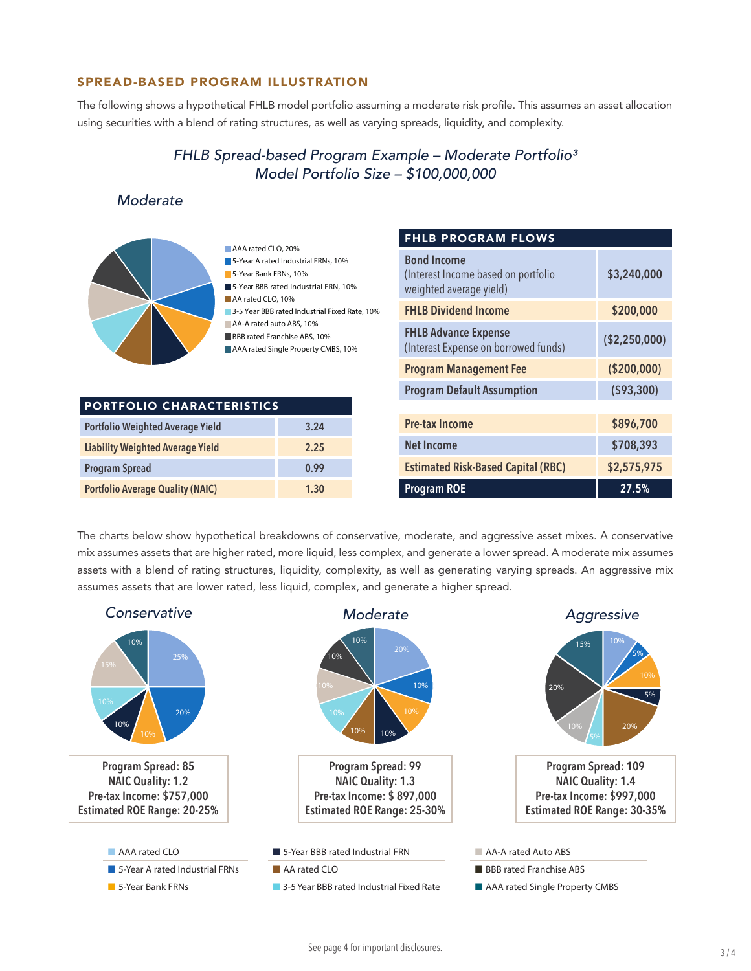#### SPREAD-BASED PROGRAM ILLUSTRATION

The following shows a hypothetical FHLB model portfolio assuming a moderate risk profile. This assumes an asset allocation using securities with a blend of rating structures, as well as varying spreads, liquidity, and complexity.

## *FHLB Spread-based Program Example – Moderate Portfolio³ Model Portfolio Size – \$100,000,000*

## *Moderate*



AAA rated CLO, 20% **5-Year A rated Industrial FRNs, 10%** 5-Year Bank FRNs, 10% **5-Year BBB rated Industrial FRN, 10%** AA rated CLO, 10% 3-5 Year BBB rated Industrial Fixed Rate, 10% AA-A rated auto ABS, 10% BBB rated Franchise ABS, 10% AAA rated Single Property CMBS, 10%

| <b>PORTFOLIO CHARACTERISTICS</b>        |      |  |
|-----------------------------------------|------|--|
| <b>Portfolio Weighted Average Yield</b> | 3.24 |  |
| <b>Liability Weighted Average Yield</b> | 2.25 |  |
| <b>Program Spread</b>                   | 0.99 |  |
| <b>Portfolio Average Quality (NAIC)</b> | 1.30 |  |

| <b>FHLB PROGRAM FLOWS</b>                                                            |               |  |
|--------------------------------------------------------------------------------------|---------------|--|
| <b>Bond Income</b><br>(Interest Income based on portfolio<br>weighted average yield) | \$3,240,000   |  |
| <b>FHLB Dividend Income</b>                                                          | \$200,000     |  |
| <b>FHLB Advance Expense</b><br>(Interest Expense on borrowed funds)                  | (\$2,250,000) |  |
| <b>Program Management Fee</b>                                                        | ( \$200,000)  |  |
| <b>Program Default Assumption</b>                                                    | ( \$93, 300)  |  |
|                                                                                      |               |  |
| <b>Pre-tax Income</b>                                                                | \$896,700     |  |
| <b>Net Income</b>                                                                    | \$708,393     |  |
| <b>Estimated Risk-Based Capital (RBC)</b>                                            | \$2,575,975   |  |
| <b>Program ROE</b>                                                                   | 27.5%         |  |

The charts below show hypothetical breakdowns of conservative, moderate, and aggressive asset mixes. A conservative mix assumes assets that are higher rated, more liquid, less complex, and generate a lower spread. A moderate mix assumes assets with a blend of rating structures, liquidity, complexity, as well as generating varying spreads. An aggressive mix assumes assets that are lower rated, less liquid, complex, and generate a higher spread.